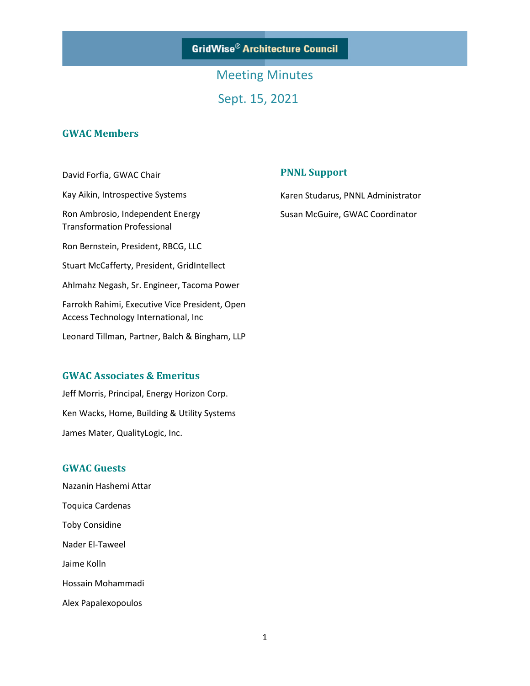**GridWise® Architecture Council** 

Meeting Minutes Sept. 15, 2021

### **GWAC Members**

David Forfia, GWAC Chair Kay Aikin, Introspective Systems Ron Ambrosio, Independent Energy Transformation Professional Ron Bernstein, President, RBCG, LLC Stuart McCafferty, President, GridIntellect Ahlmahz Negash, Sr. Engineer, Tacoma Power Farrokh Rahimi, Executive Vice President, Open Access Technology International, Inc Leonard Tillman, Partner, Balch & Bingham, LLP

### **GWAC Associates & Emeritus**

Jeff Morris, Principal, Energy Horizon Corp. Ken Wacks, Home, Building & Utility Systems James Mater, QualityLogic, Inc.

### **GWAC Guests**

Nazanin Hashemi Attar Toquica Cardenas Toby Considine Nader El-Taweel Jaime Kolln Hossain Mohammadi Alex Papalexopoulos

### **PNNL Support**

Karen Studarus, PNNL Administrator Susan McGuire, GWAC Coordinator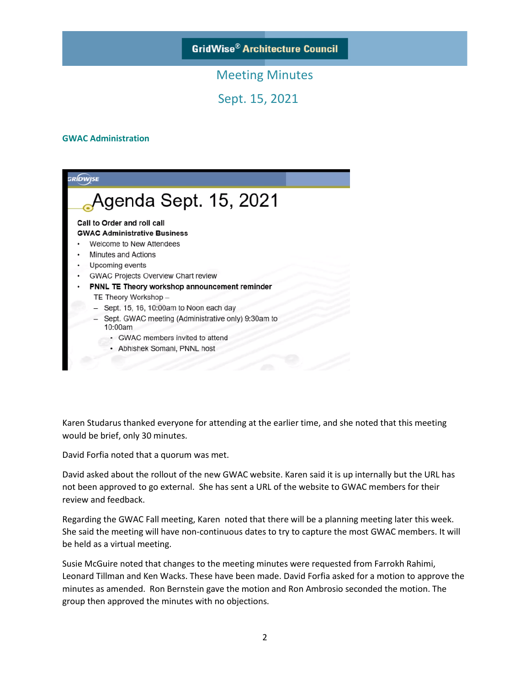**GridWise® Architecture Council** 

## Meeting Minutes

Sept. 15, 2021

#### **GWAC Administration**



Karen Studarus thanked everyone for attending at the earlier time, and she noted that this meeting would be brief, only 30 minutes.

David Forfia noted that a quorum was met.

David asked about the rollout of the new GWAC website. Karen said it is up internally but the URL has not been approved to go external. She has sent a URL of the website to GWAC members for their review and feedback.

Regarding the GWAC Fall meeting, Karen noted that there will be a planning meeting later this week. She said the meeting will have non-continuous dates to try to capture the most GWAC members. It will be held as a virtual meeting.

Susie McGuire noted that changes to the meeting minutes were requested from Farrokh Rahimi, Leonard Tillman and Ken Wacks. These have been made. David Forfia asked for a motion to approve the minutes as amended. Ron Bernstein gave the motion and Ron Ambrosio seconded the motion. The group then approved the minutes with no objections.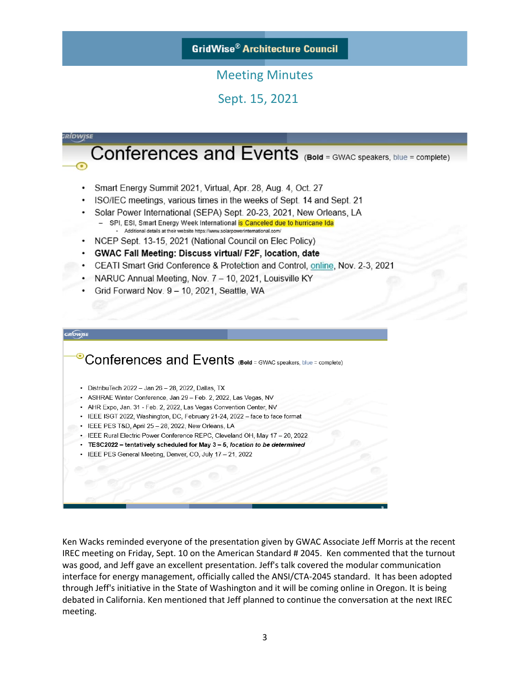### **GridWise® Architecture Council**

## Meeting Minutes

Sept. 15, 2021

# RÍDWJSE Conferences and Events (Bold = GWAC speakers, blue = complete) Smart Energy Summit 2021, Virtual, Apr. 28, Aug. 4, Oct. 27 ISO/IEC meetings, various times in the weeks of Sept. 14 and Sept. 21 Solar Power International (SEPA) Sept. 20-23, 2021, New Orleans, LA SPI, ESI, Smart Energy Week International is Canceled due to hurricane Ida - Additional details at their website https://www.solarpowerinternational.com • NCEP Sept. 13-15, 2021 (National Council on Elec Policy) GWAC Fall Meeting: Discuss virtual/ F2F, location, date  $\bullet$  . • CEATI Smart Grid Conference & Protection and Control, online, Nov. 2-3, 2021 • NARUC Annual Meeting, Nov. 7 - 10, 2021, Louisville KY Grid Forward Nov. 9 - 10, 2021, Seattle, WA **GRIDWISI** <sup>o</sup> Conferences and Events (Bold = GWAC speakers, blue = complete) • DistribuTech 2022 - Jan 26 - 28, 2022, Dallas, TX • ASHRAE Winter Conference, Jan 29 - Feb. 2, 2022, Las Vegas, NV • AHR Expo, Jan. 31 - Feb. 2, 2022, Las Vegas Convention Center, NV • IEEE ISGT 2022, Washington, DC, February 21-24, 2022 - face to face format · IEEE PES T&D, April 25 - 28, 2022, New Orleans, LA • IEEE Rural Electric Power Conference REPC, Cleveland OH, May 17 - 20, 2022 TESC2022 - tentatively scheduled for May 3 - 5, location to be determined IEEE PES General Meeting, Denver, CO, July 17 - 21, 2022

Ken Wacks reminded everyone of the presentation given by GWAC Associate Jeff Morris at the recent IREC meeting on Friday, Sept. 10 on the American Standard # 2045. Ken commented that the turnout was good, and Jeff gave an excellent presentation. Jeff's talk covered the modular communication interface for energy management, officially called the ANSI/CTA-2045 standard. It has been adopted through Jeff's initiative in the State of Washington and it will be coming online in Oregon. It is being debated in California. Ken mentioned that Jeff planned to continue the conversation at the next IREC meeting.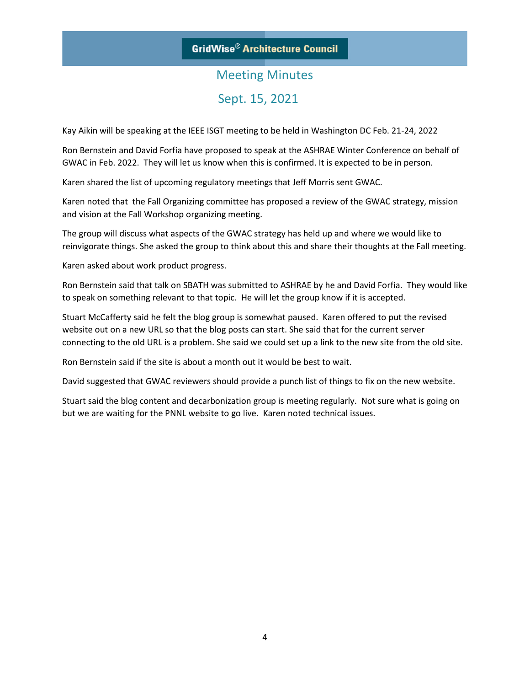# Meeting Minutes Sept. 15, 2021

Kay Aikin will be speaking at the IEEE ISGT meeting to be held in Washington DC Feb. 21-24, 2022

Ron Bernstein and David Forfia have proposed to speak at the ASHRAE Winter Conference on behalf of GWAC in Feb. 2022. They will let us know when this is confirmed. It is expected to be in person.

Karen shared the list of upcoming regulatory meetings that Jeff Morris sent GWAC.

Karen noted that the Fall Organizing committee has proposed a review of the GWAC strategy, mission and vision at the Fall Workshop organizing meeting.

The group will discuss what aspects of the GWAC strategy has held up and where we would like to reinvigorate things. She asked the group to think about this and share their thoughts at the Fall meeting.

Karen asked about work product progress.

Ron Bernstein said that talk on SBATH was submitted to ASHRAE by he and David Forfia. They would like to speak on something relevant to that topic. He will let the group know if it is accepted.

Stuart McCafferty said he felt the blog group is somewhat paused. Karen offered to put the revised website out on a new URL so that the blog posts can start. She said that for the current server connecting to the old URL is a problem. She said we could set up a link to the new site from the old site.

Ron Bernstein said if the site is about a month out it would be best to wait.

David suggested that GWAC reviewers should provide a punch list of things to fix on the new website.

Stuart said the blog content and decarbonization group is meeting regularly. Not sure what is going on but we are waiting for the PNNL website to go live. Karen noted technical issues.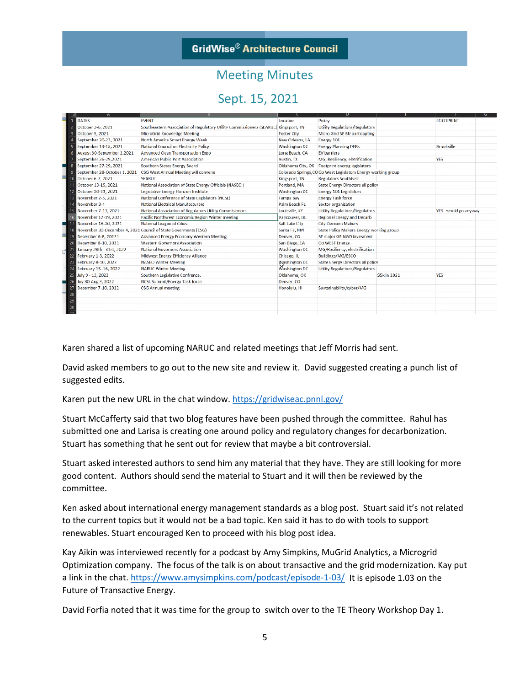

## Meeting Minutes

## Sept. 15, 2021

|              | Α                            |                                                                                     |                      |                                                               |              | G                    |
|--------------|------------------------------|-------------------------------------------------------------------------------------|----------------------|---------------------------------------------------------------|--------------|----------------------|
|              | <b>DATES</b>                 | <b>EVENT</b>                                                                        | Location             | Policy                                                        |              | <b>FOOTPRINT</b>     |
|              | October 3-6, 2021            | Southeastern Association of Regulatory Utility Commissioners (SEARUC) Kingsport, TN |                      | <b>Utility Regulations/Regulators</b>                         |              |                      |
|              | October 5, 2021              | MicroGrid Knowledge Meeting                                                         | <b>Foster City</b>   | Micro Gird SE BU particapting                                 |              |                      |
|              | September 20-23, 2021        | North America Smart Energy Week                                                     | New Orleans, LA      | Energy 101                                                    |              |                      |
|              | September 13-15, 2021        | National Council on Electricity Policy                                              | Washington DC        | <b>Energy Planning DERs</b>                                   |              | <b>Brookville</b>    |
|              | August 30-September 2,2021   | Advanced Clean Transportation Expo                                                  | Long Beach, CA       | <b>EV</b> barriers                                            |              |                      |
|              | September 26-29,2021         | American Public Port Association                                                    | Austin, TX           | MG, Resiliency, eletrification                                |              | <b>YES</b>           |
| 8            | September 27-29, 2021        | Southern States Energy Board                                                        |                      | Oklahoma City, OK Footprint eneryg legislators                |              |                      |
| 9            | September 28-October 1, 2021 | CSG West Annual Meeting will convene                                                |                      | Colorado Springs, CO Go West Legislators Energy working group |              |                      |
| 10           | October 6-7, 2021            | <b>SEARUC</b>                                                                       | Kingsport, TN        | <b>Regulators SouthEast</b>                                   |              |                      |
|              | October 13-15, 2021          | National Association of State Energy Officials (NASEO)                              | Portland, MA         | State Energy Directors all policy                             |              |                      |
|              | October 20-23, 2021          | Legislative Energy Horizon Institute                                                | <b>Washington DC</b> | Energy 101 Legislators                                        |              |                      |
| 13           | November 2-5, 2021           | National Conference of State Legislators (NCSL)                                     | <b>Tampa Bay</b>     | <b>Energy Task force</b>                                      |              |                      |
|              | November 3-4                 | <b>National Electrical Manufacturers</b>                                            | Palm Beach FL        | Sector organization                                           |              |                      |
|              | November 7-11, 2021          | National Association of Regulators Utility Commisionors                             | Louisville, KY       | <b>Utility Regulations/Regulators</b>                         |              | YES--would go anyway |
|              | November 17-19, 2021         | Pacific Northwest Economic Region Winter meeting                                    | Vancouver, BC        | <b>Regional Energy and Decarb</b>                             |              |                      |
|              | November 18-20, 2021         | <b>National League of Cities</b>                                                    | Salt Lake City       | <b>City Decision Makers</b>                                   |              |                      |
|              |                              | November 30-December 4, 2021 Council of State Goverments (CSG)                      | Santa Fe, NM         | State Policy Makers Energy working group                      |              |                      |
| 19           | December 6-8, 20221          | Advanced Energy Economy Western Meeting                                             | Denver, CO           | SE major GR NGO invesment                                     |              |                      |
| 20           | December 8-10, 2021          | <b>Western Governors Association</b>                                                | San Diego, CA        | <b>Go WEST Energy</b>                                         |              |                      |
| <b>I Wil</b> | January 28th - 31st, 2022    | National Governors Association                                                      | <b>Washington DC</b> | MG/Resiliency, electrification                                |              |                      |
| ×<br>22      | February 1-3, 2022           | Midwest Energy Efficiency Alliance                                                  | Chicago, IL          | Buildings/MG/ESCO                                             |              |                      |
|              | February 8-10, 2022          | <b>NASEO Winter Meeting</b>                                                         | <b>Washington DC</b> | <b>State Energy Directors all policy</b>                      |              |                      |
| 24           | February 13-16, 2022         | <b>NARUC Winter Meeting</b>                                                         | Washington DC        | <b>Utility Regulations/Regulators</b>                         |              |                      |
| 25           | July 9 - 13, 2022            | Southern Legislative Confrence.                                                     | Oklahoma, OK         |                                                               | \$5k in 2021 | <b>YES</b>           |
| 26           | Juy 30-Aug 3, 2022           | <b>NCSL Summit/Energy Task force</b>                                                | Denver, CO           |                                                               |              |                      |
| 27           | December 7-10, 2022          | <b>CSG Annual meeting</b>                                                           | Honolulu, HI         | Sustatinability/cyber/MG                                      |              |                      |
| 28           |                              |                                                                                     |                      |                                                               |              |                      |
| 29           |                              |                                                                                     |                      |                                                               |              |                      |
| 30           |                              |                                                                                     |                      |                                                               |              |                      |
|              |                              |                                                                                     |                      |                                                               |              |                      |

Karen shared a list of upcoming NARUC and related meetings that Jeff Morris had sent.

David asked members to go out to the new site and review it. David suggested creating a punch list of suggested edits.

Karen put the new URL in the chat window. <https://gridwiseac.pnnl.gov/>

Stuart McCafferty said that two blog features have been pushed through the committee. Rahul has submitted one and Larisa is creating one around policy and regulatory changes for decarbonization. Stuart has something that he sent out for review that maybe a bit controversial.

Stuart asked interested authors to send him any material that they have. They are still looking for more good content. Authors should send the material to Stuart and it will then be reviewed by the committee.

Ken asked about international energy management standards as a blog post. Stuart said it's not related to the current topics but it would not be a bad topic. Ken said it has to do with tools to support renewables. Stuart encouraged Ken to proceed with his blog post idea.

Kay Aikin was interviewed recently for a podcast by Amy Simpkins, MuGrid Analytics, a Microgrid Optimization company. The focus of the talk is on about transactive and the grid modernization. Kay put a link in the chat.<https://www.amysimpkins.com/podcast/episode-1-03/>It is episode 1.03 on the Future of Transactive Energy.

David Forfia noted that it was time for the group to switch over to the TE Theory Workshop Day 1.